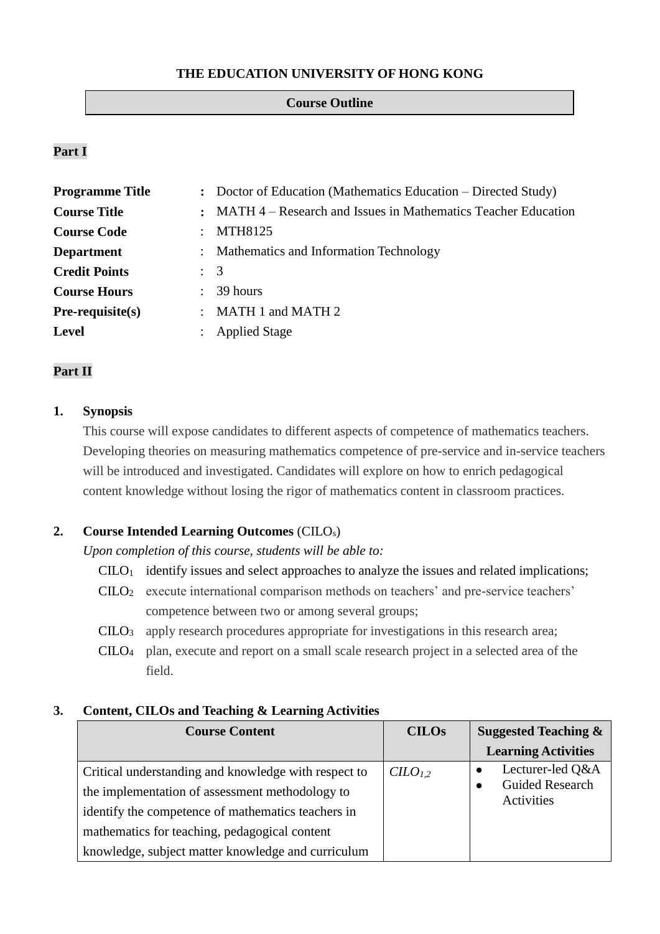## **THE EDUCATION UNIVERSITY OF HONG KONG**

#### **Course Outline**

# **Part I**

| <b>Programme Title</b> |                      | : Doctor of Education (Mathematics Education – Directed Study)  |
|------------------------|----------------------|-----------------------------------------------------------------|
| <b>Course Title</b>    |                      | : MATH 4 – Research and Issues in Mathematics Teacher Education |
| <b>Course Code</b>     |                      | MTH8125                                                         |
| <b>Department</b>      |                      | : Mathematics and Information Technology                        |
| <b>Credit Points</b>   | $\therefore$ 3       |                                                                 |
| <b>Course Hours</b>    | $\ddot{\phantom{a}}$ | 39 hours                                                        |
| $Pre-requisite(s)$     |                      | : MATH 1 and MATH 2                                             |
| <b>Level</b>           |                      | <b>Applied Stage</b>                                            |

# **Part II**

### **1. Synopsis**

This course will expose candidates to different aspects of competence of mathematics teachers. Developing theories on measuring mathematics competence of pre-service and in-service teachers will be introduced and investigated. Candidates will explore on how to enrich pedagogical content knowledge without losing the rigor of mathematics content in classroom practices.

## **2. Course Intended Learning Outcomes** (CILOs)

*Upon completion of this course, students will be able to:*

- $CLLO<sub>1</sub>$  identify issues and select approaches to analyze the issues and related implications;
- CILO<sup>2</sup> execute international comparison methods on teachers' and pre-service teachers' competence between two or among several groups;
- CILO<sup>3</sup> apply research procedures appropriate for investigations in this research area;
- CILO<sup>4</sup> plan, execute and report on a small scale research project in a selected area of the field.

#### **3. Content, CILOs and Teaching & Learning Activities**

| <b>Course Content</b>                                | <b>CILOs</b>        | <b>Suggested Teaching &amp;</b>      |
|------------------------------------------------------|---------------------|--------------------------------------|
|                                                      |                     | <b>Learning Activities</b>           |
| Critical understanding and knowledge with respect to | CILO <sub>1.2</sub> | Lecturer-led O&A                     |
| the implementation of assessment methodology to      |                     | <b>Guided Research</b><br>Activities |
| identify the competence of mathematics teachers in   |                     |                                      |
| mathematics for teaching, pedagogical content        |                     |                                      |
| knowledge, subject matter knowledge and curriculum   |                     |                                      |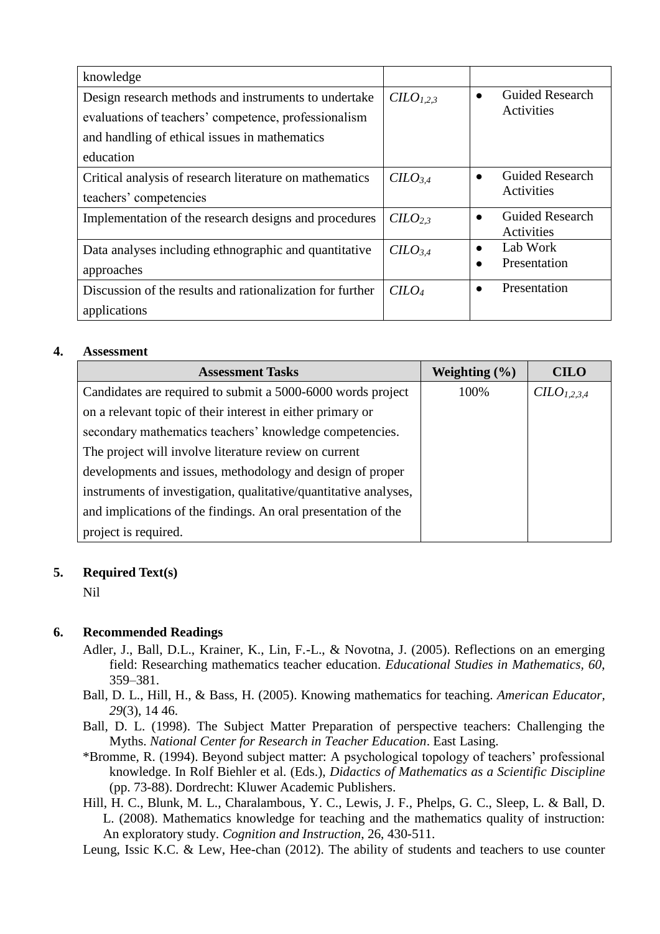| knowledge                                                                                                                                                                  |                     |                                                    |
|----------------------------------------------------------------------------------------------------------------------------------------------------------------------------|---------------------|----------------------------------------------------|
| Design research methods and instruments to undertake<br>evaluations of teachers' competence, professionalism<br>and handling of ethical issues in mathematics<br>education | C <sub>1,2,3</sub>  | <b>Guided Research</b><br>$\bullet$<br>Activities  |
| Critical analysis of research literature on mathematics<br>teachers' competencies                                                                                          | CILO <sub>3.4</sub> | <b>Guided Research</b><br>$\bullet$<br>Activities  |
| Implementation of the research designs and procedures                                                                                                                      | CILO <sub>2.3</sub> | <b>Guided Research</b><br>$\bullet$<br>Activities  |
| Data analyses including ethnographic and quantitative<br>approaches                                                                                                        | CILO <sub>3.4</sub> | Lab Work<br>$\bullet$<br>Presentation<br>$\bullet$ |
| Discussion of the results and rationalization for further<br>applications                                                                                                  | $C$                 | Presentation<br>$\bullet$                          |

## **4. Assessment**

| <b>Assessment Tasks</b>                                          | Weighting $(\% )$ | <b>CILO</b>             |
|------------------------------------------------------------------|-------------------|-------------------------|
| Candidates are required to submit a 5000-6000 words project      | 100%              | CILO <sub>1.2.3.4</sub> |
| on a relevant topic of their interest in either primary or       |                   |                         |
| secondary mathematics teachers' knowledge competencies.          |                   |                         |
| The project will involve literature review on current            |                   |                         |
| developments and issues, methodology and design of proper        |                   |                         |
| instruments of investigation, qualitative/quantitative analyses, |                   |                         |
| and implications of the findings. An oral presentation of the    |                   |                         |
| project is required.                                             |                   |                         |

# **5. Required Text(s)**

Nil

# **6. Recommended Readings**

- Adler, J., Ball, D.L., Krainer, K., Lin, F.-L., & Novotna, J. (2005). Reflections on an emerging field: Researching mathematics teacher education. *Educational Studies in Mathematics, 60*, 359–381.
- Ball, D. L., Hill, H., & Bass, H. (2005). Knowing mathematics for teaching. *American Educator, 29*(3), 14 46.
- Ball, D. L. (1998). The Subject Matter Preparation of perspective teachers: Challenging the Myths. *National Center for Research in Teacher Education*. East Lasing.
- \*Bromme, R. (1994). Beyond subject matter: A psychological topology of teachers' professional knowledge. In Rolf Biehler et al. (Eds.), *Didactics of Mathematics as a Scientific Discipline* (pp. 73-88). Dordrecht: Kluwer Academic Publishers.
- Hill, H. C., Blunk, M. L., Charalambous, Y. C., Lewis, J. F., Phelps, G. C., Sleep, L. & Ball, D. L. (2008). Mathematics knowledge for teaching and the mathematics quality of instruction: An exploratory study. *Cognition and Instruction*, 26, 430-511.

Leung, Issic K.C. & Lew, Hee-chan (2012). The ability of students and teachers to use counter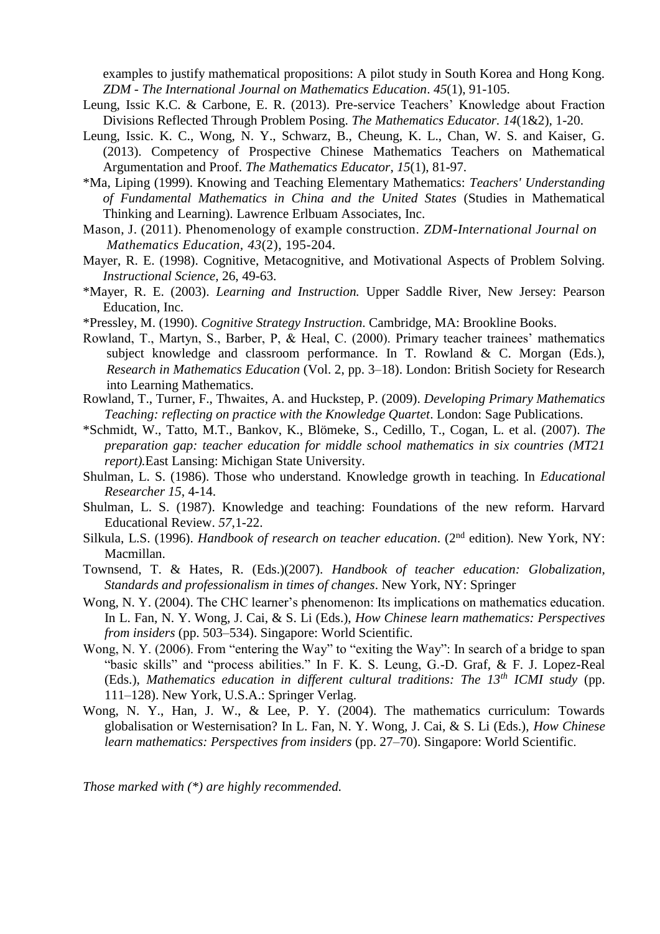examples to justify mathematical propositions: A pilot study in South Korea and Hong Kong. *ZDM - The International Journal on Mathematics Education*. *45*(1), 91-105.

- Leung, Issic K.C. & Carbone, E. R. (2013). Pre-service Teachers' Knowledge about Fraction Divisions Reflected Through Problem Posing. *The Mathematics Educator. 14*(1&2)*,* 1-20.
- Leung, Issic. K. C., Wong, N. Y., Schwarz, B., Cheung, K. L., Chan, W. S. and Kaiser, G. (2013). Competency of Prospective Chinese Mathematics Teachers on Mathematical Argumentation and Proof. *The Mathematics Educator*, *15*(1), 81-97.
- \*Ma, Liping (1999). Knowing and Teaching Elementary Mathematics: *Teachers' Understanding of Fundamental Mathematics in China and the United States* (Studies in Mathematical Thinking and Learning). Lawrence Erlbuam Associates, Inc.
- Mason, J. (2011). Phenomenology of example construction. *ZDM-International Journal on Mathematics Education, 43*(2), 195-204.
- Mayer, R. E. (1998). Cognitive, Metacognitive, and Motivational Aspects of Problem Solving. *Instructional Science,* 26, 49-63.
- \*Mayer, R. E. (2003). *Learning and Instruction.* Upper Saddle River, New Jersey: Pearson Education, Inc.
- \*Pressley, M. (1990). *Cognitive Strategy Instruction*. Cambridge, MA: Brookline Books.
- Rowland, T., Martyn, S., Barber, P, & Heal, C. (2000). Primary teacher trainees' mathematics subject knowledge and classroom performance. In T. Rowland & C. Morgan (Eds.), *Research in Mathematics Education* (Vol. 2, pp. 3–18). London: British Society for Research into Learning Mathematics.
- Rowland, T., Turner, F., Thwaites, A. and Huckstep, P. (2009). *Developing Primary Mathematics Teaching: reflecting on practice with the Knowledge Quartet*. London: Sage Publications.
- \*Schmidt, W., Tatto, M.T., Bankov, K., Blömeke, S., Cedillo, T., Cogan, L. et al. (2007). *The preparation gap: teacher education for middle school mathematics in six countries (MT21 report).*East Lansing: Michigan State University.
- Shulman, L. S. (1986). Those who understand. Knowledge growth in teaching. In *Educational Researcher 15*, 4-14.
- Shulman, L. S. (1987). Knowledge and teaching: Foundations of the new reform. Harvard Educational Review. *57*,1-22.
- Silkula, L.S. (1996). *Handbook of research on teacher education*. (2<sup>nd</sup> edition). New York, NY: Macmillan.
- Townsend, T. & Hates, R. (Eds.)(2007). *Handbook of teacher education: Globalization, Standards and professionalism in times of changes*. New York, NY: Springer
- Wong, N. Y. (2004). The CHC learner's phenomenon: Its implications on mathematics education. In L. Fan, N. Y. Wong, J. Cai, & S. Li (Eds.), *How Chinese learn mathematics: Perspectives from insiders* (pp. 503–534). Singapore: World Scientific.
- Wong, N. Y. (2006). From "entering the Way" to "exiting the Way": In search of a bridge to span "basic skills" and "process abilities." In F. K. S. Leung, G.-D. Graf, & F. J. Lopez-Real (Eds.), *Mathematics education in different cultural traditions: The 13th ICMI study* (pp. 111–128). New York, U.S.A.: Springer Verlag.
- Wong, N. Y., Han, J. W., & Lee, P. Y. (2004). The mathematics curriculum: Towards globalisation or Westernisation? In L. Fan, N. Y. Wong, J. Cai, & S. Li (Eds.), *How Chinese learn mathematics: Perspectives from insiders* (pp. 27–70). Singapore: World Scientific.

*Those marked with (\*) are highly recommended.*